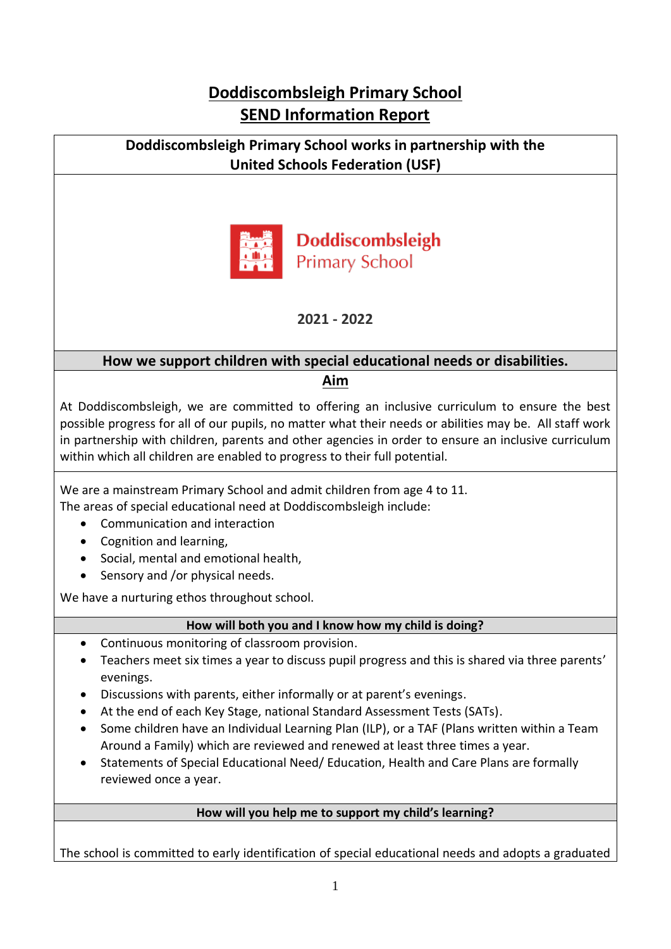# **Doddiscombsleigh Primary School SEND Information Report**

### **Doddiscombsleigh Primary School works in partnership with the United Schools Federation (USF)**



**Doddiscombsleigh Primary School** 

**2021 - 2022**

### **How we support children with special educational needs or disabilities. Aim**

At Doddiscombsleigh, we are committed to offering an inclusive curriculum to ensure the best possible progress for all of our pupils, no matter what their needs or abilities may be. All staff work in partnership with children, parents and other agencies in order to ensure an inclusive curriculum within which all children are enabled to progress to their full potential.

We are a mainstream Primary School and admit children from age 4 to 11.

The areas of special educational need at Doddiscombsleigh include:

- Communication and interaction
- Cognition and learning,
- Social, mental and emotional health,
- Sensory and /or physical needs.

We have a nurturing ethos throughout school.

### **How will both you and I know how my child is doing?**

- Continuous monitoring of classroom provision.
- Teachers meet six times a year to discuss pupil progress and this is shared via three parents' evenings.
- Discussions with parents, either informally or at parent's evenings.
- At the end of each Key Stage, national Standard Assessment Tests (SATs).
- Some children have an Individual Learning Plan (ILP), or a TAF (Plans written within a Team Around a Family) which are reviewed and renewed at least three times a year.
- Statements of Special Educational Need/ Education, Health and Care Plans are formally reviewed once a year.

## **How will you help me to support my child's learning?**

The school is committed to early identification of special educational needs and adopts a graduated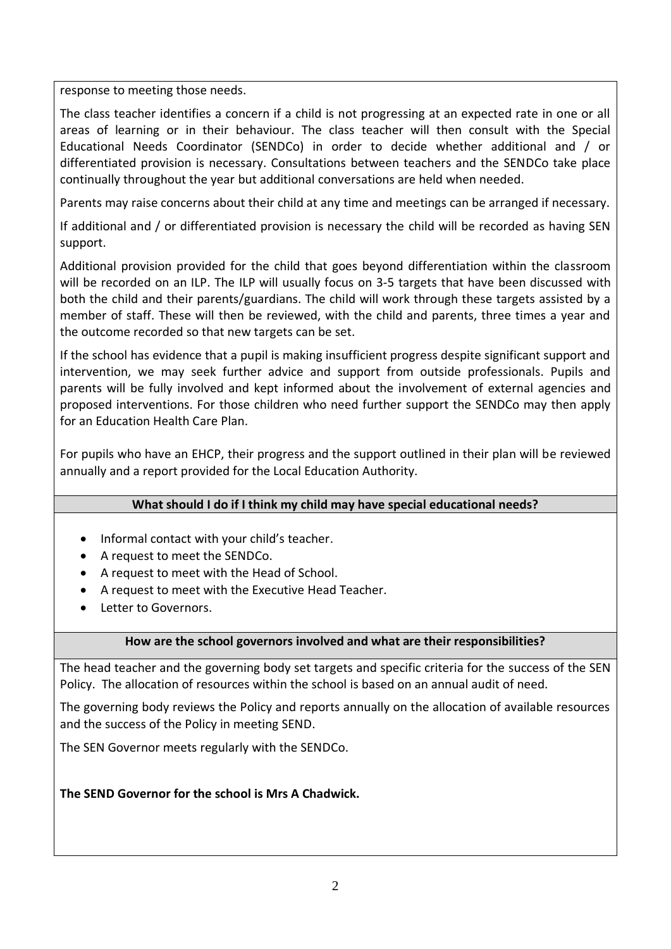response to meeting those needs.

The class teacher identifies a concern if a child is not progressing at an expected rate in one or all areas of learning or in their behaviour. The class teacher will then consult with the Special Educational Needs Coordinator (SENDCo) in order to decide whether additional and / or differentiated provision is necessary. Consultations between teachers and the SENDCo take place continually throughout the year but additional conversations are held when needed.

Parents may raise concerns about their child at any time and meetings can be arranged if necessary.

If additional and / or differentiated provision is necessary the child will be recorded as having SEN support.

Additional provision provided for the child that goes beyond differentiation within the classroom will be recorded on an ILP. The ILP will usually focus on 3-5 targets that have been discussed with both the child and their parents/guardians. The child will work through these targets assisted by a member of staff. These will then be reviewed, with the child and parents, three times a year and the outcome recorded so that new targets can be set.

If the school has evidence that a pupil is making insufficient progress despite significant support and intervention, we may seek further advice and support from outside professionals. Pupils and parents will be fully involved and kept informed about the involvement of external agencies and proposed interventions. For those children who need further support the SENDCo may then apply for an Education Health Care Plan.

For pupils who have an EHCP, their progress and the support outlined in their plan will be reviewed annually and a report provided for the Local Education Authority.

#### **What should I do if I think my child may have special educational needs?**

- Informal contact with your child's teacher.
- A request to meet the SENDCo.
- A request to meet with the Head of School.
- A request to meet with the Executive Head Teacher.
- Letter to Governors.

#### **How are the school governors involved and what are their responsibilities?**

The head teacher and the governing body set targets and specific criteria for the success of the SEN Policy. The allocation of resources within the school is based on an annual audit of need.

The governing body reviews the Policy and reports annually on the allocation of available resources and the success of the Policy in meeting SEND.

The SEN Governor meets regularly with the SENDCo.

#### **The SEND Governor for the school is Mrs A Chadwick.**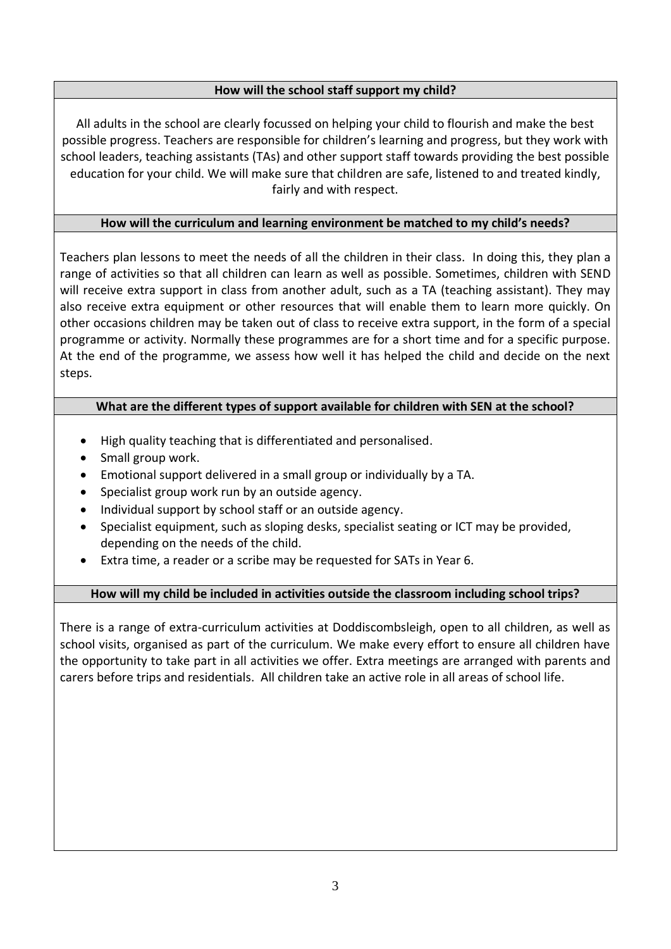#### **How will the school staff support my child?**

All adults in the school are clearly focussed on helping your child to flourish and make the best possible progress. Teachers are responsible for children's learning and progress, but they work with school leaders, teaching assistants (TAs) and other support staff towards providing the best possible education for your child. We will make sure that children are safe, listened to and treated kindly, fairly and with respect.

#### **How will the curriculum and learning environment be matched to my child's needs?**

Teachers plan lessons to meet the needs of all the children in their class. In doing this, they plan a range of activities so that all children can learn as well as possible. Sometimes, children with SEND will receive extra support in class from another adult, such as a TA (teaching assistant). They may also receive extra equipment or other resources that will enable them to learn more quickly. On other occasions children may be taken out of class to receive extra support, in the form of a special programme or activity. Normally these programmes are for a short time and for a specific purpose. At the end of the programme, we assess how well it has helped the child and decide on the next steps.

#### **What are the different types of support available for children with SEN at the school?**

- High quality teaching that is differentiated and personalised.
- Small group work.
- Emotional support delivered in a small group or individually by a TA.
- Specialist group work run by an outside agency.
- Individual support by school staff or an outside agency.
- Specialist equipment, such as sloping desks, specialist seating or ICT may be provided, depending on the needs of the child.
- Extra time, a reader or a scribe may be requested for SATs in Year 6.

#### **How will my child be included in activities outside the classroom including school trips?**

There is a range of extra-curriculum activities at Doddiscombsleigh, open to all children, as well as school visits, organised as part of the curriculum. We make every effort to ensure all children have the opportunity to take part in all activities we offer. Extra meetings are arranged with parents and carers before trips and residentials. All children take an active role in all areas of school life.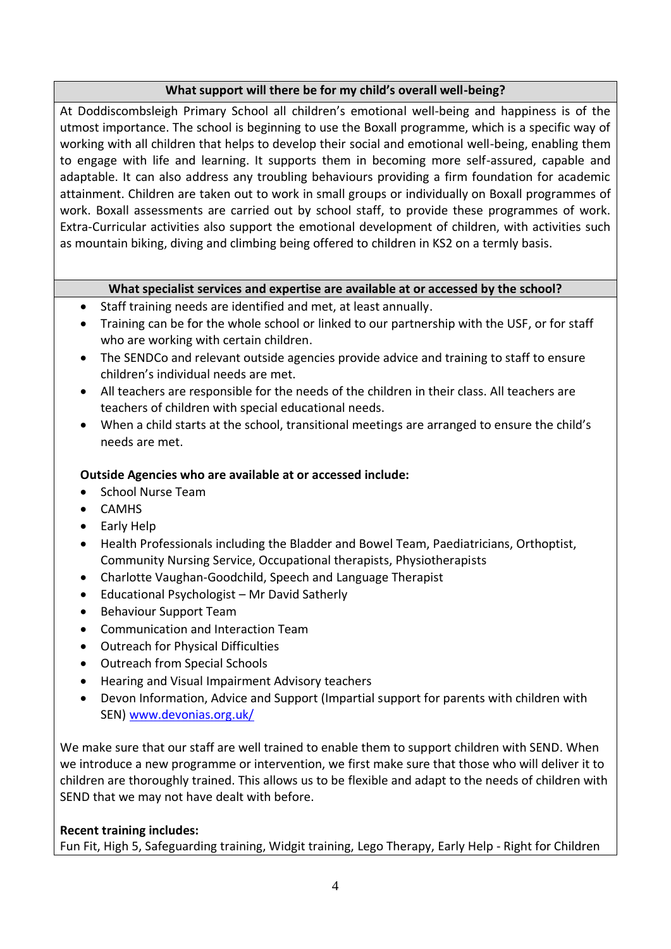#### **What support will there be for my child's overall well-being?**

At Doddiscombsleigh Primary School all children's emotional well-being and happiness is of the utmost importance. The school is beginning to use the Boxall programme, which is a specific way of working with all children that helps to develop their social and emotional well-being, enabling them to engage with life and learning. It supports them in becoming more self-assured, capable and adaptable. It can also address any troubling behaviours providing a firm foundation for academic attainment. Children are taken out to work in small groups or individually on Boxall programmes of work. Boxall assessments are carried out by school staff, to provide these programmes of work. Extra-Curricular activities also support the emotional development of children, with activities such as mountain biking, diving and climbing being offered to children in KS2 on a termly basis.

#### **What specialist services and expertise are available at or accessed by the school?**

- Staff training needs are identified and met, at least annually.
- Training can be for the whole school or linked to our partnership with the USF, or for staff who are working with certain children.
- The SENDCo and relevant outside agencies provide advice and training to staff to ensure children's individual needs are met.
- All teachers are responsible for the needs of the children in their class. All teachers are teachers of children with special educational needs.
- When a child starts at the school, transitional meetings are arranged to ensure the child's needs are met.

### **Outside Agencies who are available at or accessed include:**

- School Nurse Team
- CAMHS
- Early Help
- Health Professionals including the Bladder and Bowel Team, Paediatricians, Orthoptist, Community Nursing Service, Occupational therapists, Physiotherapists
- Charlotte Vaughan-Goodchild, Speech and Language Therapist
- Educational Psychologist Mr David Satherly
- Behaviour Support Team
- Communication and Interaction Team
- Outreach for Physical Difficulties
- Outreach from Special Schools
- Hearing and Visual Impairment Advisory teachers
- Devon Information, Advice and Support (Impartial support for parents with children with SEN) [www.devonias.org.uk/](http://www.devonias.org.uk/)

We make sure that our staff are well trained to enable them to support children with SEND. When we introduce a new programme or intervention, we first make sure that those who will deliver it to children are thoroughly trained. This allows us to be flexible and adapt to the needs of children with SEND that we may not have dealt with before.

#### **Recent training includes:**

Fun Fit, High 5, Safeguarding training, Widgit training, Lego Therapy, Early Help - Right for Children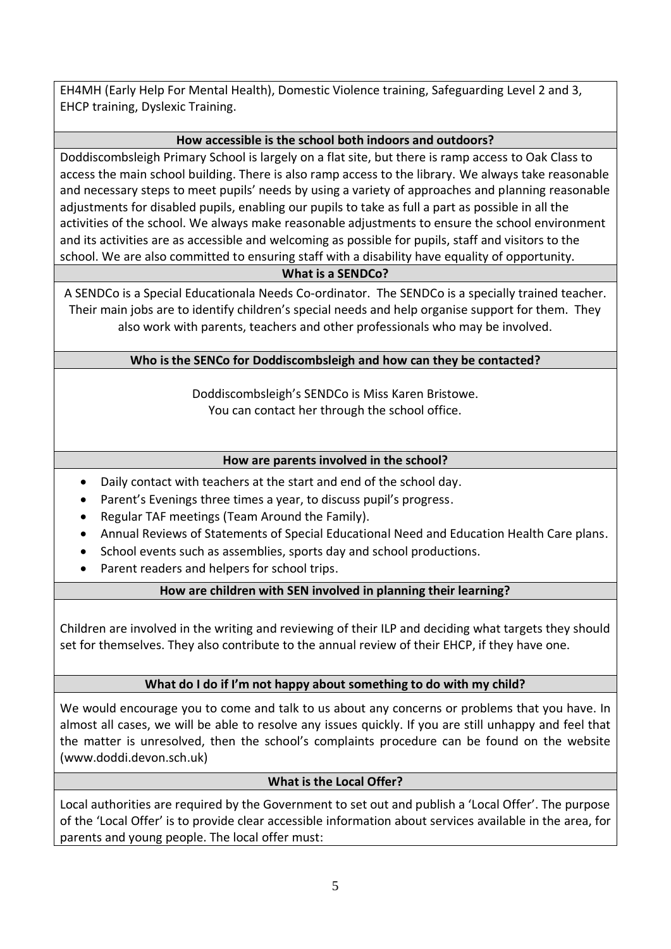EH4MH (Early Help For Mental Health), Domestic Violence training, Safeguarding Level 2 and 3, EHCP training, Dyslexic Training.

#### **How accessible is the school both indoors and outdoors?**

Doddiscombsleigh Primary School is largely on a flat site, but there is ramp access to Oak Class to access the main school building. There is also ramp access to the library. We always take reasonable and necessary steps to meet pupils' needs by using a variety of approaches and planning reasonable adjustments for disabled pupils, enabling our pupils to take as full a part as possible in all the activities of the school. We always make reasonable adjustments to ensure the school environment and its activities are as accessible and welcoming as possible for pupils, staff and visitors to the school. We are also committed to ensuring staff with a disability have equality of opportunity.

#### **What is a SENDCo?**

A SENDCo is a Special Educationala Needs Co-ordinator. The SENDCo is a specially trained teacher. Their main jobs are to identify children's special needs and help organise support for them. They also work with parents, teachers and other professionals who may be involved.

#### **Who is the SENCo for Doddiscombsleigh and how can they be contacted?**

Doddiscombsleigh's SENDCo is Miss Karen Bristowe. You can contact her through the school office.

#### **How are parents involved in the school?**

- Daily contact with teachers at the start and end of the school day.
- Parent's Evenings three times a year, to discuss pupil's progress.
- Regular TAF meetings (Team Around the Family).
- Annual Reviews of Statements of Special Educational Need and Education Health Care plans.
- School events such as assemblies, sports day and school productions.
- Parent readers and helpers for school trips.

#### **How are children with SEN involved in planning their learning?**

Children are involved in the writing and reviewing of their ILP and deciding what targets they should set for themselves. They also contribute to the annual review of their EHCP, if they have one.

#### **What do I do if I'm not happy about something to do with my child?**

We would encourage you to come and talk to us about any concerns or problems that you have. In almost all cases, we will be able to resolve any issues quickly. If you are still unhappy and feel that the matter is unresolved, then the school's complaints procedure can be found on the website (www.doddi.devon.sch.uk)

#### **What is the Local Offer?**

Local authorities are required by the Government to set out and publish a 'Local Offer'. The purpose of the 'Local Offer' is to provide clear accessible information about services available in the area, for parents and young people. The local offer must: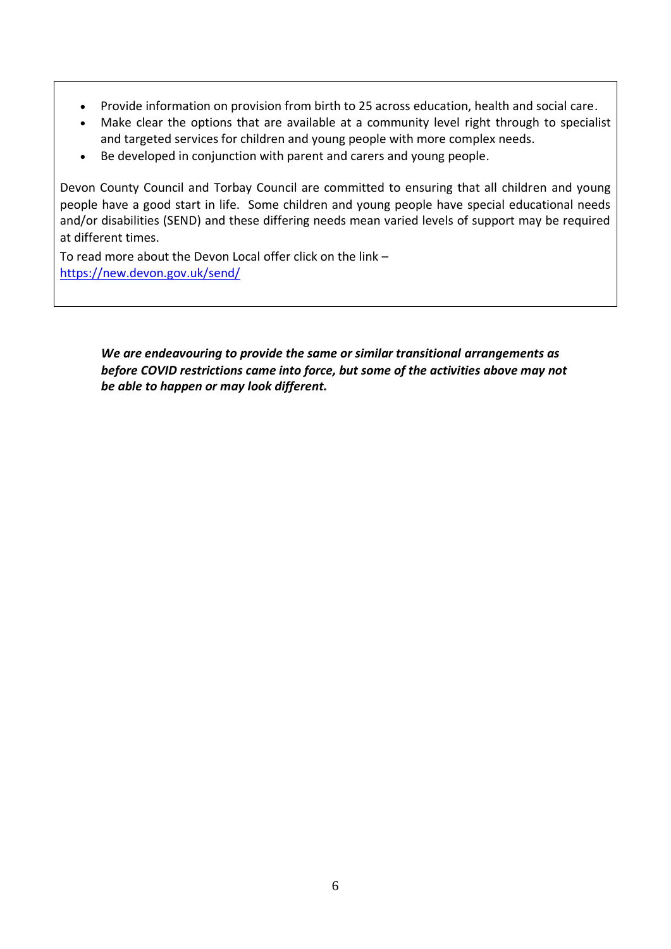- Provide information on provision from birth to 25 across education, health and social care.
- Make clear the options that are available at a community level right through to specialist and targeted services for children and young people with more complex needs.
- Be developed in conjunction with parent and carers and young people.

Devon County Council and Torbay Council are committed to ensuring that all children and young people have a good start in life. Some children and young people have special educational needs and/or disabilities (SEND) and these differing needs mean varied levels of support may be required at different times.

To read more about the Devon Local offer click on the link – <https://new.devon.gov.uk/send/>

> *We are endeavouring to provide the same or similar transitional arrangements as before COVID restrictions came into force, but some of the activities above may not be able to happen or may look different.*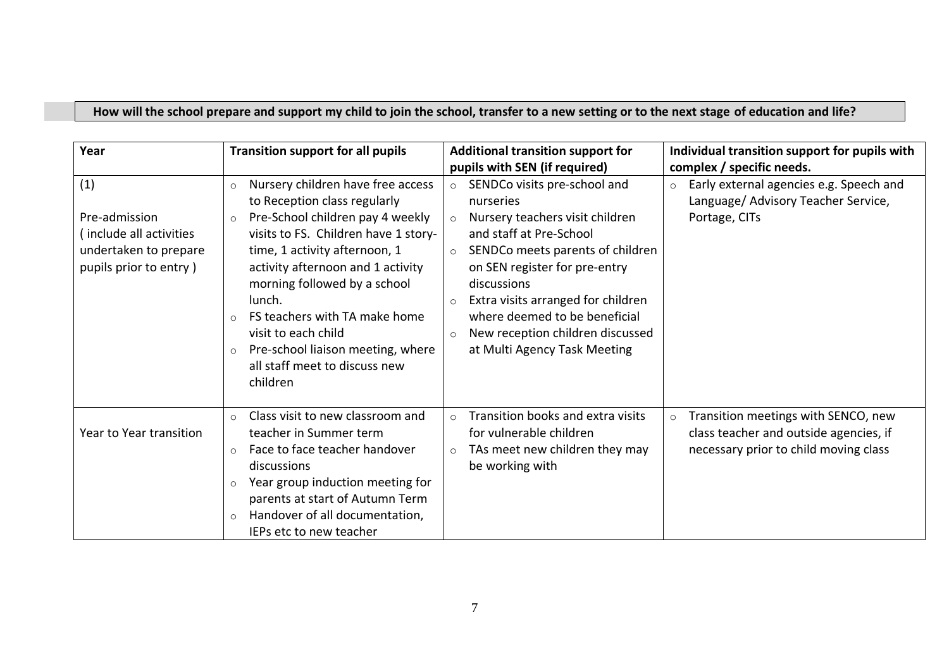## **How will the school prepare and support my child to join the school, transfer to a new setting or to the next stage of education and life?**

| Year                                                                                               | <b>Transition support for all pupils</b>                                                                                                                                                                                                                                                                                                                                                                                                            | <b>Additional transition support for</b>                                                                                                                                                                                                                                                                                                                                | Individual transition support for pupils with                                                                                     |
|----------------------------------------------------------------------------------------------------|-----------------------------------------------------------------------------------------------------------------------------------------------------------------------------------------------------------------------------------------------------------------------------------------------------------------------------------------------------------------------------------------------------------------------------------------------------|-------------------------------------------------------------------------------------------------------------------------------------------------------------------------------------------------------------------------------------------------------------------------------------------------------------------------------------------------------------------------|-----------------------------------------------------------------------------------------------------------------------------------|
|                                                                                                    |                                                                                                                                                                                                                                                                                                                                                                                                                                                     | pupils with SEN (if required)                                                                                                                                                                                                                                                                                                                                           | complex / specific needs.                                                                                                         |
| (1)<br>Pre-admission<br>(include all activities<br>undertaken to prepare<br>pupils prior to entry) | Nursery children have free access<br>$\circ$<br>to Reception class regularly<br>Pre-School children pay 4 weekly<br>$\circ$<br>visits to FS. Children have 1 story-<br>time, 1 activity afternoon, 1<br>activity afternoon and 1 activity<br>morning followed by a school<br>lunch.<br>FS teachers with TA make home<br>$\circ$<br>visit to each child<br>Pre-school liaison meeting, where<br>$\circ$<br>all staff meet to discuss new<br>children | SENDCo visits pre-school and<br>$\circ$<br>nurseries<br>Nursery teachers visit children<br>and staff at Pre-School<br>SENDCo meets parents of children<br>$\circ$<br>on SEN register for pre-entry<br>discussions<br>Extra visits arranged for children<br>where deemed to be beneficial<br>New reception children discussed<br>$\circ$<br>at Multi Agency Task Meeting | Early external agencies e.g. Speech and<br>$\circ$<br>Language/ Advisory Teacher Service,<br>Portage, CITs                        |
| Year to Year transition                                                                            | Class visit to new classroom and<br>$\circ$<br>teacher in Summer term<br>Face to face teacher handover<br>$\circ$<br>discussions<br>Year group induction meeting for<br>$\circ$<br>parents at start of Autumn Term<br>Handover of all documentation,<br>$\circ$<br>IEPs etc to new teacher                                                                                                                                                          | Transition books and extra visits<br>$\circ$<br>for vulnerable children<br>TAs meet new children they may<br>$\circ$<br>be working with                                                                                                                                                                                                                                 | Transition meetings with SENCO, new<br>$\circ$<br>class teacher and outside agencies, if<br>necessary prior to child moving class |